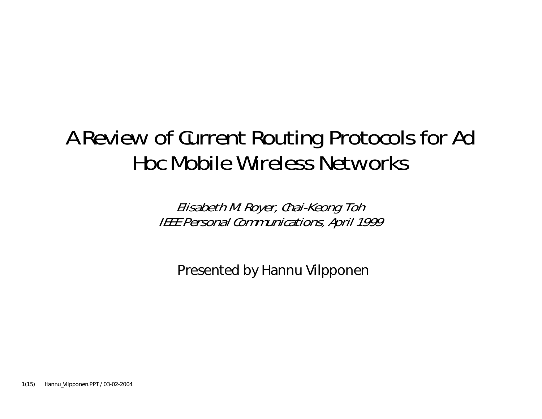#### **A Review of Current Routing Protocols for Ad Hoc Mobile Wireless Networks**

**Elisabeth M. Royer, Chai-Keong Toh IEEE Personal Communications, April 1999**

Presented by Hannu Vilpponen

1(15) Hannu\_Vilpponen.PPT / 03-02-2004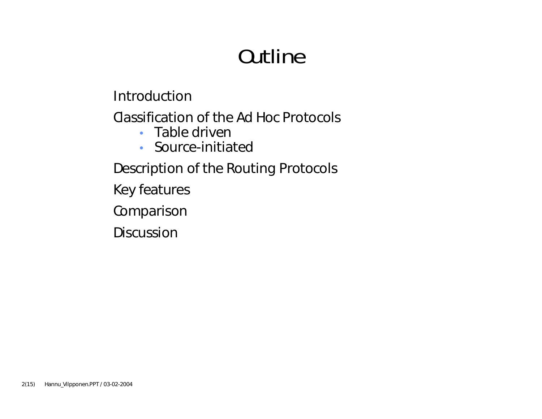## **Outline**

Introduction

Classification of the Ad Hoc Protocols

- Table driver
- Source-initiated

Description of the Routing Protocols

Key features

Comparison

Discussion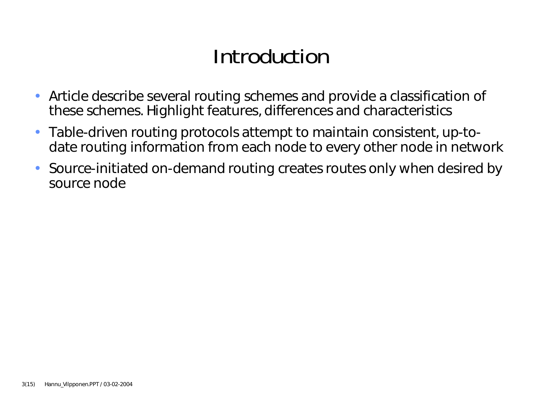### **Introduction**

- Article describe several routing schemes and provide a classification of these schemes. Highlight features, differences and characteristics
- $\bullet$  Table-driven routing protocols attempt to maintain consistent, up-todate routing information from each node to every other node in network
- • Source-initiated on-demand routing creates routes only when desired by source node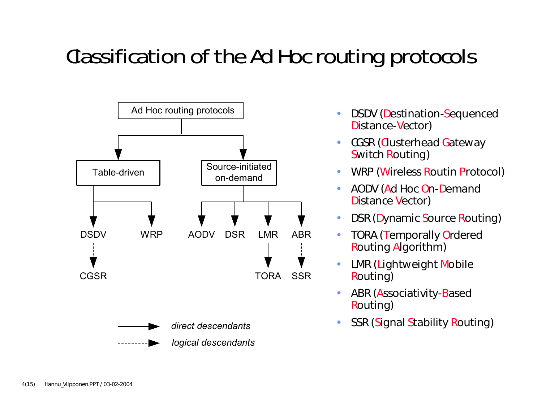### **Classification of the Ad Hoc routing protocols**



- • DSDV (Destination-Sequenced Distance-Vector)
- •CGSR (Clusterhead Gateway Switch Routing)
- •WRP (Wireless Routin Protocol)
- $\bullet$  AODV (Ad Hoc On-Demand Distance Vector)
- •DSR (Dynamic Source Routing)
- $\bullet$  TORA (Temporally Ordered Routing Algorithm)
- • LMR (Lightweight Mobile Routing)
- •ABR (Associativity-Based Routing)
- •SSR (Signal Stability Routing)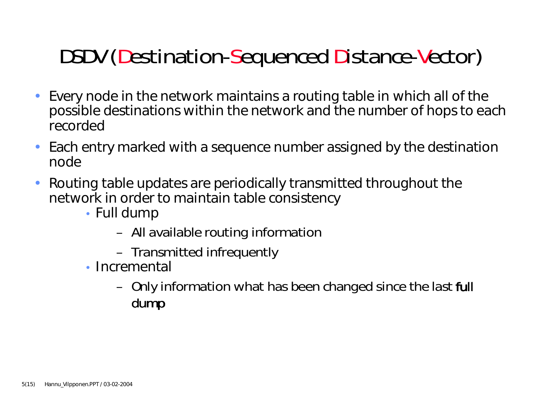# **DSDV (Destination-Sequenced Distance-Vector)**

- • Every node in the network maintains a routing table in which all of the possible destinations within the network and the number of hops to each recorded
- • Each entry marked with a sequence number assigned by the destination node
- $\bullet$  Routing table updates are periodically transmitted throughout the network in order to maintain table consistency
	- Full dump
		- All available routing information
		- Transmitted infrequently
	- Incremental
		- Only information what has been changed since the last *full dump*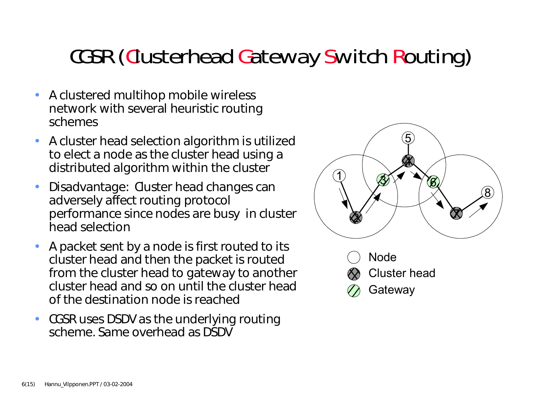### **CGSR (Clusterhead Gateway Switch Routing)**

- A clustered multihop mobile wireless network with several heuristic routing schemes
- • A cluster head selection algorithm is utilized to elect a node as the cluster head using a distributed algorithm within the cluster
- • Disadvantage: Cluster head changes can adversely affect routing protocol performance since nodes are busy in cluster head selection
- • A packet sent by a node is first routed to its cluster head and then the packet is routed from the cluster head to gateway to another cluster head and so on until the cluster head of the destination node is reached
- CGSR uses DSDV as the underlying routing scheme. Same overhead as DSDV



**Gateway**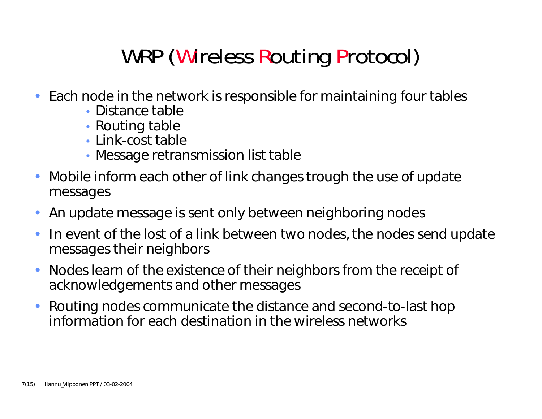# **WRP (Wireless Routing Protocol)**

- Each node in the network is responsible for maintaining four tables
	- Distance table
	- Routing table
	- Link-cost table
	- Message retransmission list table
- • Mobile inform each other of link changes trough the use of update messages
- •An update message is sent only between neighboring nodes
- • In event of the lost of a link between two nodes, the nodes send update messages their neighbors
- • Nodes learn of the existence of their neighbors from the receipt of acknowledgements and other messages
- • Routing nodes communicate the distance and second-to-last hop information for each destination in the wireless networks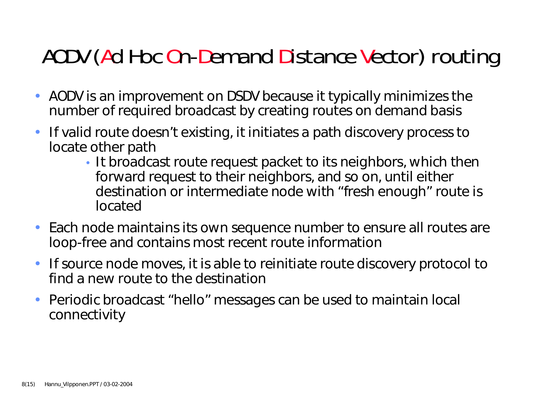### **AODV (Ad Hoc On-Demand Distance Vector) routing**

- AODV is an improvement on DSDV because it typically minimizes the number of required broadcast by creating routes on demand basis
- $\bullet$  If valid route doesn't existing, it initiates a path discovery process to locate other path
	- It broadcast route request packet to its neighbors, which then forward request to their neighbors, and so on, until either destination or intermediate node with "fresh enough" route is located
- Each node maintains its own sequence number to ensure all routes are loop-free and contains most recent route information
- If source node moves, it is able to reinitiate route discovery protocol to find a new route to the destination
- • Periodic broadcast "hello" messages can be used to maintain local connectivity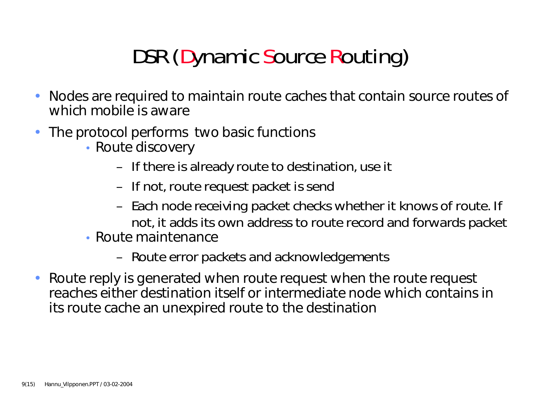# **DSR (Dynamic Source Routing)**

- • Nodes are required to maintain route caches that contain source routes of which mobile is aware
- • The protocol performs two basic functions
	- Route discovery
		- If there is already route to destination, use it
		- If not, route request packet is send
		- Each node receiving packet checks whether it knows of route. If not, it adds its own address to route record and forwards packet
	- Route maintenance
		- Route error packets and acknowledgements
- Route reply is generated when route request when the route request reaches either destination itself or intermediate node which contains in its route cache an unexpired route to the destination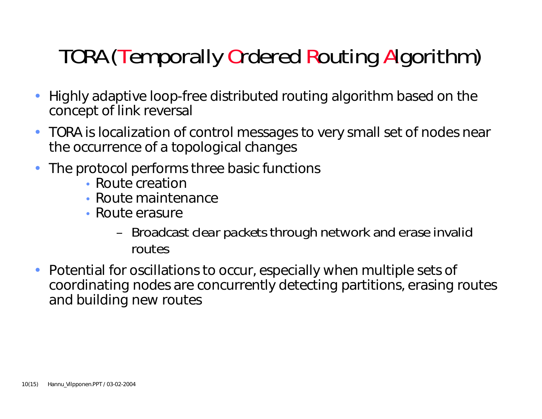# **TORA (Temporally Ordered Routing Algorithm)**

- • Highly adaptive loop-free distributed routing algorithm based on the concept of link reversal
- TORA is localization of control messages to very small set of nodes near the occurrence of a topological changes
- • The protocol performs three basic functions
	- Route creatior
	- Route maintenance
	- Route erasure
		- Broadcast *clear packets* through network and erase invalid routes
- • Potential for oscillations to occur, especially when multiple sets of coordinating nodes are concurrently detecting partitions, erasing routes and building new routes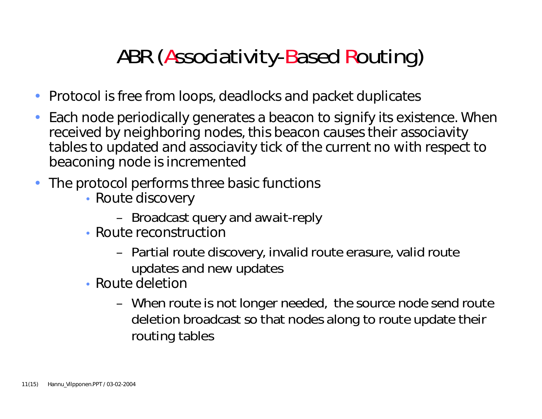# **ABR (Associativity-Based Routing)**

- Protocol is free from loops, deadlocks and packet duplicates
- • Each node periodically generates a beacon to signify its existence. When received by neighboring nodes, this beacon causes their associavity tables to updated and associavity tick of the current no with respect to beaconing node is incremented
- The protocol performs three basic functions
	- Route discovery
		- Broadcast query and await-reply
	- Route reconstruction
		- Partial route discovery, invalid route erasure, valid route updates and new updates
	- Route deletior
		- When route is not longer needed, the source node send route deletion broadcast so that nodes along to route update their routing tables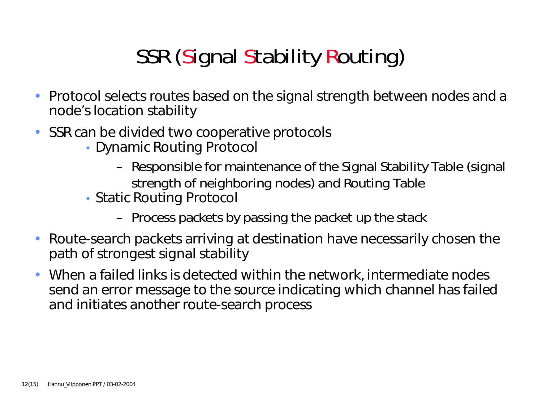# **SSR (Signal Stability Routing)**

- Protocol selects routes based on the signal strength between nodes and a node's location stability
- SSR can be divided two cooperative protocols
	- Dynamic Routing Protocol
		- Responsible for maintenance of the Signal Stability Table (signal strength of neighboring nodes) and Routing Table
	- Static Routing Protocol
		- Process packets by passing the packet up the stack
- $\bullet$  Route-search packets arriving at destination have necessarily chosen the path of strongest signal stability
- When a failed links is detected within the network, intermediate nodes send an error message to the source indicating which channel has failed and initiates another route-search process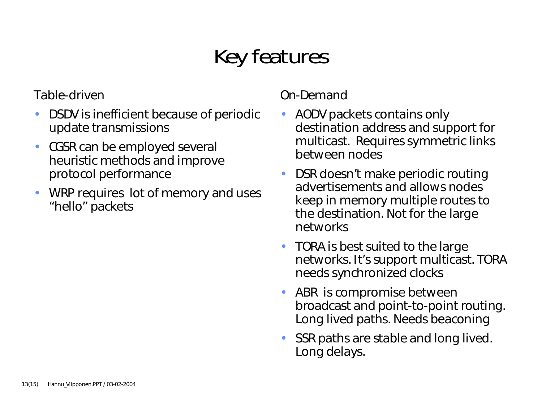# **Key features**

Table-driven

- • DSDV is inefficient because of periodic update transmissions
- CGSR can be employed several heuristic methods and improve protocol performance
- • WRP requires lot of memory and uses "hello" packets

On-Demand

- • AODV packets contains only destination address and support for multicast. Requires symmetric links between nodes
- • DSR doesn't make periodic routing advertisements and allows nodes keep in memory multiple routes to the destination. Not for the large networks
- TORA is best suited to the large networks. It's support multicast. TORA needs synchronized clocks
- ABR is compromise between broadcast and point-to-point routing. Long lived paths. Needs beaconing
- SSR paths are stable and long lived. Long delays.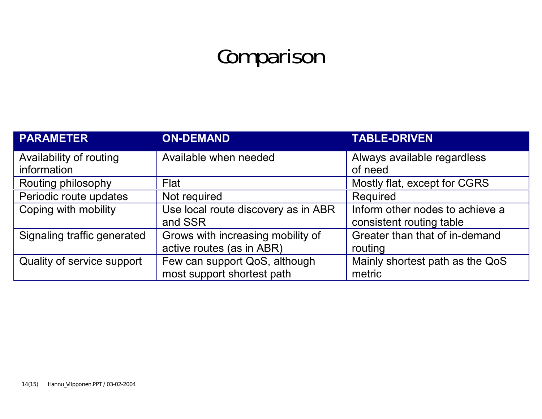# **Comparison**

| <b>PARAMETER</b>                       | <b>ON-DEMAND</b>                    | <b>TABLE-DRIVEN</b>                    |
|----------------------------------------|-------------------------------------|----------------------------------------|
| Availability of routing<br>information | Available when needed               | Always available regardless<br>of need |
| Routing philosophy                     | Flat                                | Mostly flat, except for CGRS           |
| Periodic route updates                 | Not required                        | Required                               |
| Coping with mobility                   | Use local route discovery as in ABR | Inform other nodes to achieve a        |
|                                        | and SSR                             | consistent routing table               |
| Signaling traffic generated            | Grows with increasing mobility of   | Greater than that of in-demand         |
|                                        | active routes (as in ABR)           | routing                                |
| Quality of service support             | Few can support QoS, although       | Mainly shortest path as the QoS        |
|                                        | most support shortest path          | metric                                 |